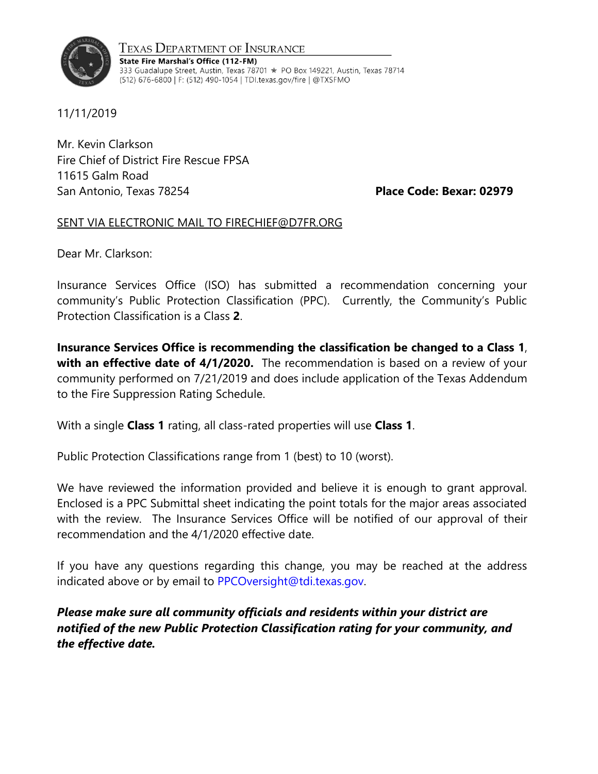

Texas Department of Insurance State Fire Marshal's Office (112-FM) 333 Guadalupe Street, Austin, Texas 78701 ★ PO Box 149221, Austin, Texas 78714 (512) 676-6800 | F: (512) 490-1054 | TDI.texas.gov/fire | @TXSFMO

11/11/2019

Mr. Kevin Clarkson Fire Chief of District Fire Rescue FPSA 11615 Galm Road San Antonio, Texas 78254 **Place Code: Bexar: 02979**

## SENT VIA ELECTRONIC MAIL TO FIRECHIEF@D7FR.ORG

Dear Mr. Clarkson:

Insurance Services Office (ISO) has submitted a recommendation concerning your community's Public Protection Classification (PPC). Currently, the Community's Public Protection Classification is a Class **2**.

**Insurance Services Office is recommending the classification be changed to a Class 1**, **with an effective date of 4/1/2020.** The recommendation is based on a review of your community performed on 7/21/2019 and does include application of the Texas Addendum to the Fire Suppression Rating Schedule.

With a single **Class 1** rating, all class-rated properties will use **Class 1**.

Public Protection Classifications range from 1 (best) to 10 (worst).

We have reviewed the information provided and believe it is enough to grant approval. Enclosed is a PPC Submittal sheet indicating the point totals for the major areas associated with the review. The Insurance Services Office will be notified of our approval of their recommendation and the 4/1/2020 effective date.

If you have any questions regarding this change, you may be reached at the address indicated above or by email to [PPCOversight@tdi.texas.gov.](mailto:PPCOversight@tdi.texas.gov)

*Please make sure all community officials and residents within your district are notified of the new Public Protection Classification rating for your community, and the effective date.*